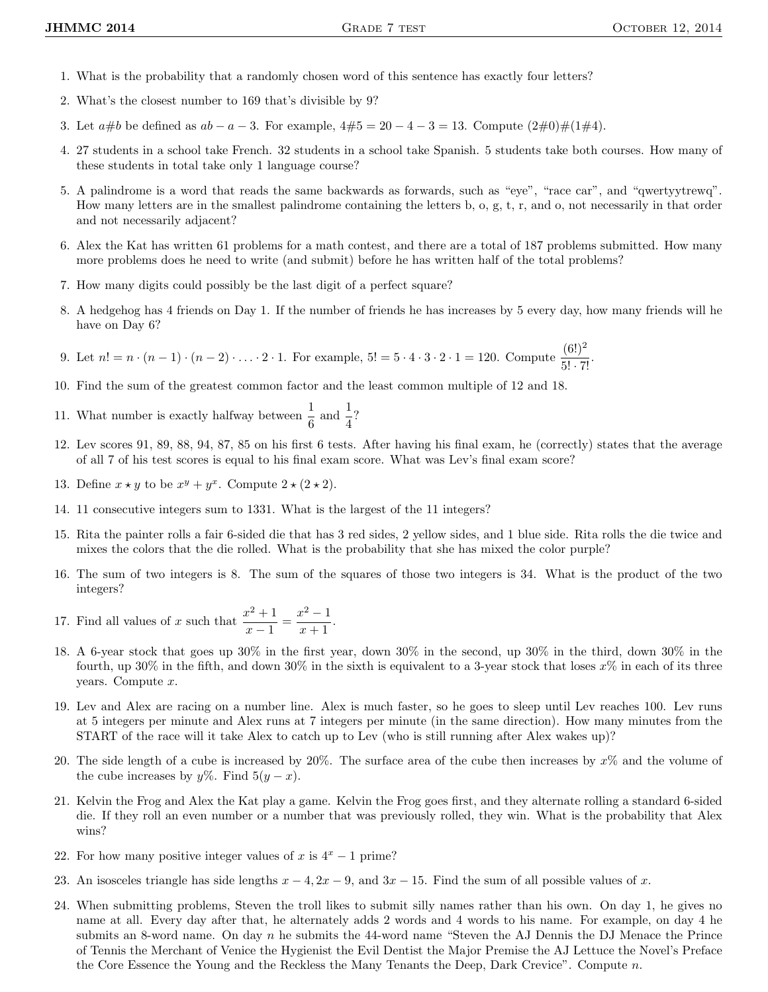- 1. What is the probability that a randomly chosen word of this sentence has exactly four letters?
- 2. What's the closest number to 169 that's divisible by 9?
- 3. Let  $a\#b$  be defined as  $ab a 3$ . For example,  $4\#5 = 20 4 3 = 13$ . Compute  $(2\#0)\#(1\#4)$ .
- 4. 27 students in a school take French. 32 students in a school take Spanish. 5 students take both courses. How many of these students in total take only 1 language course?
- 5. A palindrome is a word that reads the same backwards as forwards, such as "eye", "race car", and "qwertyytrewq". How many letters are in the smallest palindrome containing the letters b, o, g, t, r, and o, not necessarily in that order and not necessarily adjacent?
- 6. Alex the Kat has written 61 problems for a math contest, and there are a total of 187 problems submitted. How many more problems does he need to write (and submit) before he has written half of the total problems?
- 7. How many digits could possibly be the last digit of a perfect square?
- 8. A hedgehog has 4 friends on Day 1. If the number of friends he has increases by 5 every day, how many friends will he have on Day 6?
- 9. Let  $n! = n \cdot (n-1) \cdot (n-2) \cdot \ldots \cdot 2 \cdot 1$ . For example,  $5! = 5 \cdot 4 \cdot 3 \cdot 2 \cdot 1 = 120$ . Compute  $\frac{(6!)^2}{5! \cdot 7!}$ .
- 10. Find the sum of the greatest common factor and the least common multiple of 12 and 18.
- 11. What number is exactly halfway between  $\frac{1}{6}$  and  $\frac{1}{4}$ ?
- 12. Lev scores 91, 89, 88, 94, 87, 85 on his first 6 tests. After having his final exam, he (correctly) states that the average of all 7 of his test scores is equal to his final exam score. What was Lev's final exam score?
- 13. Define  $x \star y$  to be  $x^y + y^x$ . Compute  $2 \star (2 \star 2)$ .
- 14. 11 consecutive integers sum to 1331. What is the largest of the 11 integers?
- 15. Rita the painter rolls a fair 6-sided die that has 3 red sides, 2 yellow sides, and 1 blue side. Rita rolls the die twice and mixes the colors that the die rolled. What is the probability that she has mixed the color purple?
- 16. The sum of two integers is 8. The sum of the squares of those two integers is 34. What is the product of the two integers?
- 17. Find all values of x such that  $\frac{x^2+1}{1}$  $\frac{x^2+1}{x-1} = \frac{x^2-1}{x+1}$  $\frac{x+1}{x+1}.$
- 18. A 6-year stock that goes up 30% in the first year, down 30% in the second, up 30% in the third, down 30% in the fourth, up 30% in the fifth, and down 30% in the sixth is equivalent to a 3-year stock that loses  $x\%$  in each of its three years. Compute  $x$ .
- 19. Lev and Alex are racing on a number line. Alex is much faster, so he goes to sleep until Lev reaches 100. Lev runs at 5 integers per minute and Alex runs at 7 integers per minute (in the same direction). How many minutes from the START of the race will it take Alex to catch up to Lev (who is still running after Alex wakes up)?
- 20. The side length of a cube is increased by  $20\%$ . The surface area of the cube then increases by  $x\%$  and the volume of the cube increases by  $y\%$ . Find  $5(y - x)$ .
- 21. Kelvin the Frog and Alex the Kat play a game. Kelvin the Frog goes first, and they alternate rolling a standard 6-sided die. If they roll an even number or a number that was previously rolled, they win. What is the probability that Alex wins?
- 22. For how many positive integer values of x is  $4^x 1$  prime?
- 23. An isosceles triangle has side lengths  $x 4$ ,  $2x 9$ , and  $3x 15$ . Find the sum of all possible values of x.
- 24. When submitting problems, Steven the troll likes to submit silly names rather than his own. On day 1, he gives no name at all. Every day after that, he alternately adds 2 words and 4 words to his name. For example, on day 4 he submits an 8-word name. On day n he submits the 44-word name "Steven the AJ Dennis the DJ Menace the Prince of Tennis the Merchant of Venice the Hygienist the Evil Dentist the Major Premise the AJ Lettuce the Novel's Preface the Core Essence the Young and the Reckless the Many Tenants the Deep, Dark Crevice". Compute  $n$ .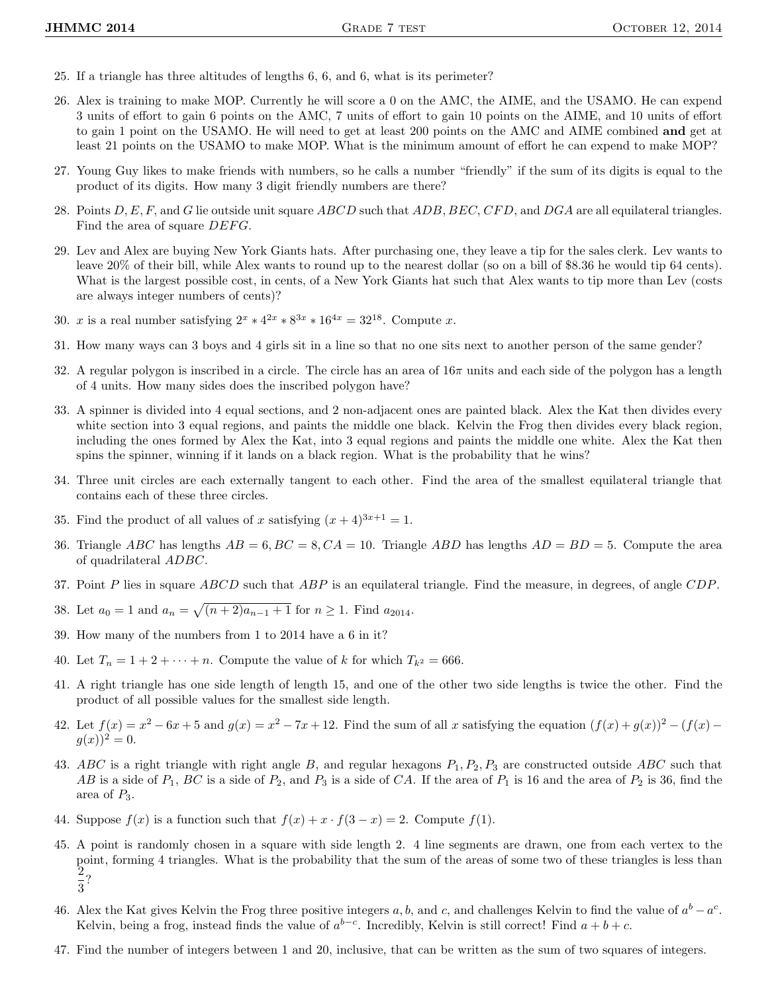- 25. If a triangle has three altitudes of lengths 6, 6, and 6, what is its perimeter?
- 26. Alex is training to make MOP. Currently he will score a 0 on the AMC, the AIME, and the USAMO. He can expend 3 units of effort to gain 6 points on the AMC, 7 units of effort to gain 10 points on the AIME, and 10 units of effort to gain 1 point on the USAMO. He will need to get at least 200 points on the AMC and AIME combined and get at least 21 points on the USAMO to make MOP. What is the minimum amount of effort he can expend to make MOP?
- 27. Young Guy likes to make friends with numbers, so he calls a number "friendly" if the sum of its digits is equal to the product of its digits. How many 3 digit friendly numbers are there?
- 28. Points  $D, E, F$ , and G lie outside unit square ABCD such that ADB, BEC, CFD, and DGA are all equilateral triangles. Find the area of square  $DEFG$ .
- 29. Lev and Alex are buying New York Giants hats. After purchasing one, they leave a tip for the sales clerk. Lev wants to leave 20% of their bill, while Alex wants to round up to the nearest dollar (so on a bill of \$8.36 he would tip 64 cents). What is the largest possible cost, in cents, of a New York Giants hat such that Alex wants to tip more than Lev (costs are always integer numbers of cents)?
- 30. x is a real number satisfying  $2^x * 4^{2x} * 8^{3x} * 16^{4x} = 32^{18}$ . Compute x.
- 31. How many ways can 3 boys and 4 girls sit in a line so that no one sits next to another person of the same gender?
- 32. A regular polygon is inscribed in a circle. The circle has an area of  $16\pi$  units and each side of the polygon has a length of 4 units. How many sides does the inscribed polygon have?
- 33. A spinner is divided into 4 equal sections, and 2 non-adjacent ones are painted black. Alex the Kat then divides every white section into 3 equal regions, and paints the middle one black. Kelvin the Frog then divides every black region, including the ones formed by Alex the Kat, into 3 equal regions and paints the middle one white. Alex the Kat then spins the spinner, winning if it lands on a black region. What is the probability that he wins?
- 34. Three unit circles are each externally tangent to each other. Find the area of the smallest equilateral triangle that contains each of these three circles.
- 35. Find the product of all values of x satisfying  $(x+4)^{3x+1} = 1$ .
- 36. Triangle ABC has lengths  $AB = 6$ ,  $BC = 8$ ,  $CA = 10$ . Triangle ABD has lengths  $AD = BD = 5$ . Compute the area of quadrilateral ADBC.
- 37. Point P lies in square  $ABCD$  such that  $ABP$  is an equilateral triangle. Find the measure, in degrees, of angle  $CDP$ .
- 38. Let  $a_0 = 1$  and  $a_n = \sqrt{(n+2)a_{n-1}+1}$  for  $n \ge 1$ . Find  $a_{2014}$ .
- 39. How many of the numbers from 1 to 2014 have a 6 in it?
- 40. Let  $T_n = 1 + 2 + \cdots + n$ . Compute the value of k for which  $T_{k^2} = 666$ .
- 41. A right triangle has one side length of length 15, and one of the other two side lengths is twice the other. Find the product of all possible values for the smallest side length.
- 42. Let  $f(x) = x^2 6x + 5$  and  $g(x) = x^2 7x + 12$ . Find the sum of all x satisfying the equation  $(f(x) + g(x))^2 (f(x) g(x))^2$  $q(x)$ )<sup>2</sup> = 0.
- 43. ABC is a right triangle with right angle B, and regular hexagons  $P_1, P_2, P_3$  are constructed outside ABC such that AB is a side of  $P_1$ , BC is a side of  $P_2$ , and  $P_3$  is a side of CA. If the area of  $P_1$  is 16 and the area of  $P_2$  is 36, find the area of  $P_3$ .
- 44. Suppose  $f(x)$  is a function such that  $f(x) + x \cdot f(3 x) = 2$ . Compute  $f(1)$ .
- 45. A point is randomly chosen in a square with side length 2. 4 line segments are drawn, one from each vertex to the point, forming 4 triangles. What is the probability that the sum of the areas of some two of these triangles is less than 2  $\frac{1}{3}$ ?
- 46. Alex the Kat gives Kelvin the Frog three positive integers a, b, and c, and challenges Kelvin to find the value of  $a^b a^c$ . Kelvin, being a frog, instead finds the value of  $a^{b-c}$ . Incredibly, Kelvin is still correct! Find  $a + b + c$ .
- 47. Find the number of integers between 1 and 20, inclusive, that can be written as the sum of two squares of integers.